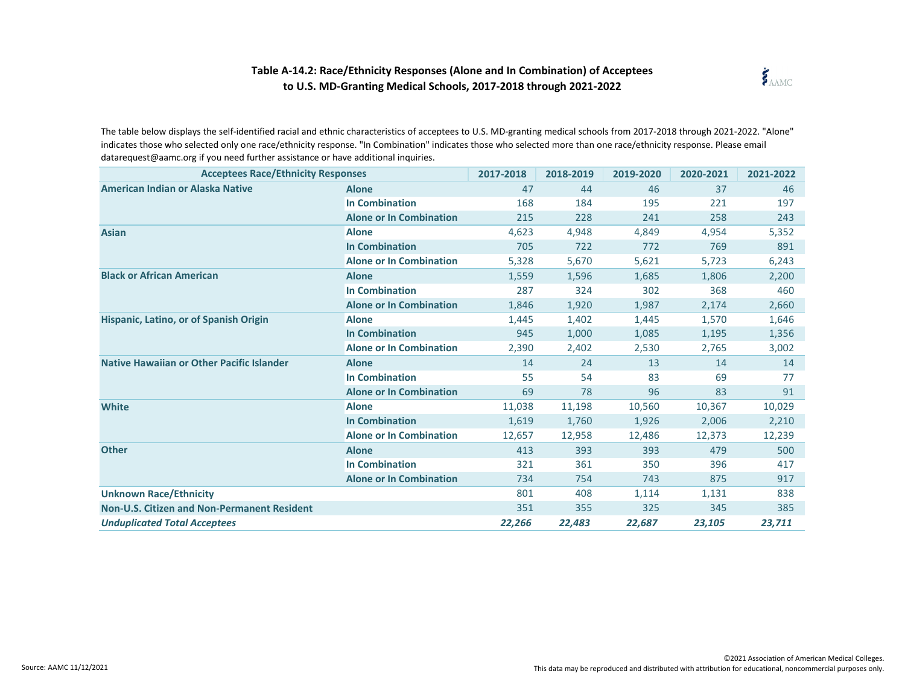## **Table A-14.2: Race/Ethnicity Responses (Alone and In Combination) of Acceptees to U.S. MD-Granting Medical Schools, 2017-2018 through 2021-2022**



The table below displays the self-identified racial and ethnic characteristics of acceptees to U.S. MD-granting medical schools from 2017-2018 through 2021-2022. "Alone" indicates those who selected only one race/ethnicity response. "In Combination" indicates those who selected more than one race/ethnicity response. Please email datarequest@aamc.org if you need further assistance or have additional inquiries.

| <b>Acceptees Race/Ethnicity Responses</b>          |                                | 2017-2018 | 2018-2019 | 2019-2020 | 2020-2021 | 2021-2022 |
|----------------------------------------------------|--------------------------------|-----------|-----------|-----------|-----------|-----------|
| American Indian or Alaska Native                   | <b>Alone</b>                   | 47        | 44        | 46        | 37        | 46        |
|                                                    | <b>In Combination</b>          | 168       | 184       | 195       | 221       | 197       |
|                                                    | <b>Alone or In Combination</b> | 215       | 228       | 241       | 258       | 243       |
| <b>Asian</b>                                       | <b>Alone</b>                   | 4,623     | 4,948     | 4,849     | 4,954     | 5,352     |
|                                                    | <b>In Combination</b>          | 705       | 722       | 772       | 769       | 891       |
|                                                    | <b>Alone or In Combination</b> | 5,328     | 5,670     | 5,621     | 5,723     | 6,243     |
| <b>Black or African American</b>                   | <b>Alone</b>                   | 1,559     | 1,596     | 1,685     | 1,806     | 2,200     |
|                                                    | <b>In Combination</b>          | 287       | 324       | 302       | 368       | 460       |
|                                                    | <b>Alone or In Combination</b> | 1,846     | 1,920     | 1,987     | 2,174     | 2,660     |
| Hispanic, Latino, or of Spanish Origin             | <b>Alone</b>                   | 1,445     | 1,402     | 1,445     | 1,570     | 1,646     |
|                                                    | <b>In Combination</b>          | 945       | 1,000     | 1,085     | 1,195     | 1,356     |
|                                                    | <b>Alone or In Combination</b> | 2,390     | 2,402     | 2,530     | 2,765     | 3,002     |
| Native Hawaiian or Other Pacific Islander          | <b>Alone</b>                   | 14        | 24        | 13        | 14        | 14        |
|                                                    | <b>In Combination</b>          | 55        | 54        | 83        | 69        | 77        |
|                                                    | <b>Alone or In Combination</b> | 69        | 78        | 96        | 83        | 91        |
| <b>White</b>                                       | <b>Alone</b>                   | 11,038    | 11,198    | 10,560    | 10,367    | 10,029    |
|                                                    | <b>In Combination</b>          | 1,619     | 1,760     | 1,926     | 2,006     | 2,210     |
|                                                    | <b>Alone or In Combination</b> | 12,657    | 12,958    | 12,486    | 12,373    | 12,239    |
| <b>Other</b>                                       | <b>Alone</b>                   | 413       | 393       | 393       | 479       | 500       |
|                                                    | <b>In Combination</b>          | 321       | 361       | 350       | 396       | 417       |
|                                                    | <b>Alone or In Combination</b> | 734       | 754       | 743       | 875       | 917       |
| <b>Unknown Race/Ethnicity</b>                      |                                | 801       | 408       | 1,114     | 1,131     | 838       |
| <b>Non-U.S. Citizen and Non-Permanent Resident</b> |                                | 351       | 355       | 325       | 345       | 385       |
| <b>Unduplicated Total Acceptees</b>                |                                | 22,266    | 22,483    | 22,687    | 23,105    | 23,711    |